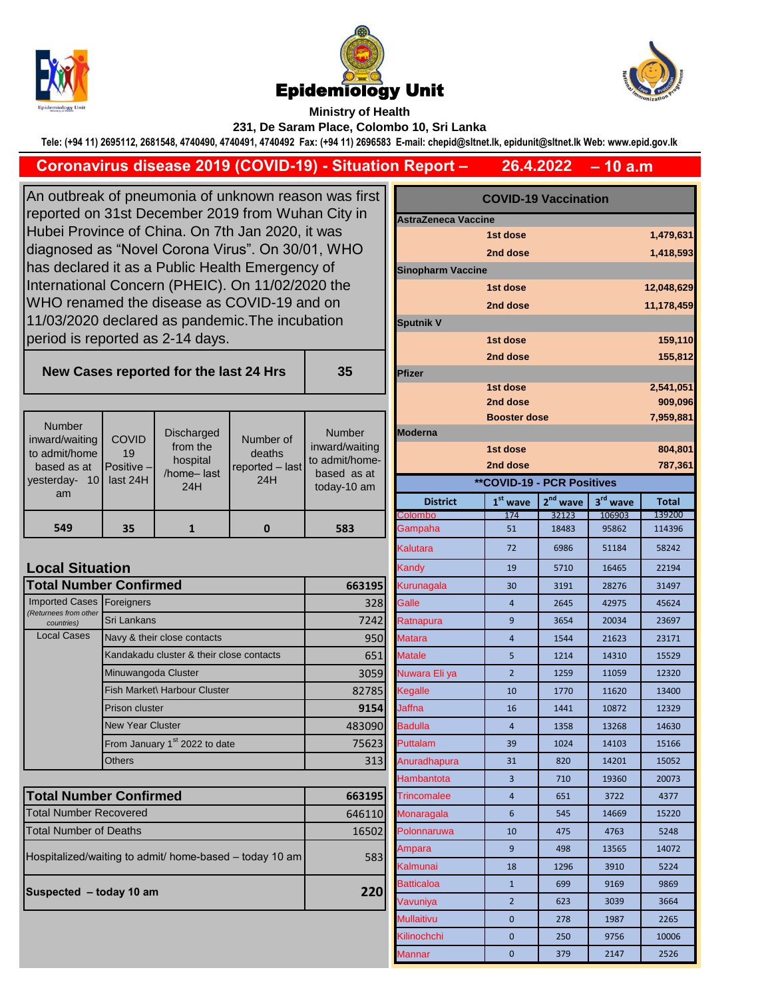





**Ministry of Health 231, De Saram Place, Colombo 10, Sri Lanka**

**Tele: (+94 11) 2695112, 2681548, 4740490, 4740491, 4740492 Fax: (+94 11) 2696583 E-mail: chepid@sltnet.lk, epidunit@sltnet.lk Web: www.epid.gov.lk**

## **Coronavirus disease 2019 (COVID-19) - Situation Report –**

**– 10 a.m 26.4.2022**

An outbreak of pneumonia of unknown reason was first reported on 31st December 2019 from Wuhan City in Hubei Province of China. On 7th Jan 2020, it was diagnosed as "Novel Corona Virus". On 30/01, WHO has declared it as a Public Health Emergency of International Concern (PHEIC). On 11/02/2020 the WHO renamed the disease as COVID-19 and on 11/03/2020 declared as pandemic.The incubation period is reported as 2-14 days.

**New Cases reported for the last 24 Hr** 

| <b>Number</b><br>inward/waiting<br>to admit/home<br>based as at<br>vesterday-<br>10 <sup>1</sup><br>am | <b>COVID</b><br>19<br><b>Positive</b> -<br>last 24H | Discharged<br>from the<br>hospital<br>/home-last<br>24H | Number of<br>deaths<br>reported - last<br>24H | <b>Number</b><br>inward/waiting<br>to admit/home-<br>based as at<br>today-10 am | <b>IModerna</b><br><b>District</b> | <b>Booster dose</b><br>1st dose<br>2nd dose<br><b>**COVID-19 - PCR Positives</b><br>$1st$ wave | $2nd$ wave | $3rd$ wave | 7,959,8<br>804,8<br>787,3<br><b>Total</b> |
|--------------------------------------------------------------------------------------------------------|-----------------------------------------------------|---------------------------------------------------------|-----------------------------------------------|---------------------------------------------------------------------------------|------------------------------------|------------------------------------------------------------------------------------------------|------------|------------|-------------------------------------------|
|                                                                                                        |                                                     |                                                         |                                               |                                                                                 | <b>Colombo</b>                     | 174                                                                                            | 32123      | 106903     | 139200                                    |
| 549                                                                                                    | 35                                                  |                                                         | 0                                             | 583                                                                             | Gampaha                            | 51                                                                                             | 18483      | 95862      | 114396                                    |

## **Local Situation**

| <b>Total Number Confirmed</b>       | 663195                                    |        |
|-------------------------------------|-------------------------------------------|--------|
| <b>Imported Cases</b>               | Foreigners                                | 328    |
| (Returnees from other<br>countries) | Sri Lankans                               | 7242   |
| <b>Local Cases</b>                  | Navy & their close contacts               | 950    |
|                                     | Kandakadu cluster & their close contacts  | 651    |
|                                     | Minuwangoda Cluster                       | 3059   |
|                                     | Fish Market\ Harbour Cluster              | 82785  |
|                                     | Prison cluster                            | 9154   |
|                                     | <b>New Year Cluster</b>                   | 483090 |
|                                     | From January 1 <sup>st</sup> 2022 to date | 75623  |
|                                     | Others                                    | 313    |

| <b>Total Number Confirmed</b>                           | 663195 |
|---------------------------------------------------------|--------|
| <b>Total Number Recovered</b>                           | 646110 |
| <b>Total Number of Deaths</b>                           | 16502  |
| Hospitalized/waiting to admit/ home-based – today 10 am | 583    |
| Suspected - today 10 am                                 | 220    |

| s first         | <b>COVID-19 Vaccination</b>                              |                     |                               |                                |                        |  |
|-----------------|----------------------------------------------------------|---------------------|-------------------------------|--------------------------------|------------------------|--|
| y in            | <b>AstraZeneca Vaccine</b>                               |                     |                               |                                |                        |  |
|                 |                                                          | 1st dose            |                               |                                | 1,479,631              |  |
| łО              |                                                          | 2nd dose            |                               |                                | 1,418,593              |  |
|                 | <b>Sinopharm Vaccine</b>                                 |                     |                               |                                |                        |  |
| €               |                                                          | 1st dose            |                               |                                | 12,048,629             |  |
|                 |                                                          | 2nd dose            |                               |                                | 11,178,459             |  |
|                 | Sputnik V                                                |                     |                               |                                |                        |  |
|                 |                                                          | 1st dose            |                               |                                | 159,110                |  |
|                 |                                                          | 2nd dose            |                               |                                | 155,812                |  |
| 5               | Pfizer                                                   |                     |                               |                                |                        |  |
|                 |                                                          | 1st dose            |                               |                                | 2,541,051              |  |
|                 |                                                          | 2nd dose            |                               |                                | 909,096                |  |
|                 |                                                          | <b>Booster dose</b> |                               |                                | 7,959,881              |  |
| ıber<br>waiting | Moderna                                                  |                     |                               |                                |                        |  |
| :/home/         | 1st dose<br>804,801                                      |                     |                               |                                |                        |  |
| as at           | 787,361<br>2nd dose<br><b>**COVID-19 - PCR Positives</b> |                     |                               |                                |                        |  |
| 10 am           |                                                          |                     |                               |                                |                        |  |
|                 | <b>District</b><br>Colombo                               | $1st$ wave<br>174   | 2 <sup>nd</sup> wave<br>32123 | 3 <sup>rd</sup> wave<br>106903 | <b>Total</b><br>139200 |  |
| <b>3</b>        | Gampaha                                                  | 51                  | 18483                         | 95862                          | 114396                 |  |
|                 | Kalutara                                                 | 72                  | 6986                          | 51184                          | 58242                  |  |
|                 | Kandy                                                    | 19                  | 5710                          | 16465                          | 22194                  |  |
| 663195          | Kurunagala                                               | 30                  | 3191                          | 28276                          | 31497                  |  |
| 328             | Galle                                                    | $\overline{4}$      | 2645                          | 42975                          | 45624                  |  |
| 7242            | Ratnapura                                                | 9                   | 3654                          | 20034                          | 23697                  |  |
| 950             | <b>Matara</b>                                            | 4                   | 1544                          | 21623                          | 23171                  |  |
| 651             | <b>Matale</b>                                            | 5                   | 1214                          | 14310                          | 15529                  |  |
| 3059            | Nuwara Eli ya                                            | $\overline{2}$      | 1259                          | 11059                          | 12320                  |  |
| 82785           | Kegalle                                                  | 10                  | 1770                          | 11620                          | 13400                  |  |
| 9154            | Jaffna                                                   | 16                  | 1441                          | 10872                          | 12329                  |  |
| 483090          | <b>Badulla</b>                                           | 4                   | 1358                          | 13268                          | 14630                  |  |
| 75623           | Puttalam                                                 | 39                  | 1024                          | 14103                          | 15166                  |  |
| 313             | Anuradhapura                                             | 31                  | 820                           | 14201                          | 15052                  |  |
|                 | Hambantota                                               | 3                   | 710                           | 19360                          | 20073                  |  |
| 663195          | Trincomalee                                              | 4                   | 651                           | 3722                           | 4377                   |  |
| 646110          | Monaragala                                               | 6                   | 545                           | 14669                          | 15220                  |  |
| 16502           | Polonnaruwa                                              | 10                  | 475                           | 4763                           | 5248                   |  |
|                 | Ampara                                                   | 9                   | 498                           | 13565                          | 14072                  |  |
| 583             | Kalmunai                                                 | 18                  | 1296                          | 3910                           | 5224                   |  |
|                 | <b>Batticaloa</b>                                        | $\mathbf{1}$        | 699                           | 9169                           | 9869                   |  |
| 220             | Vavuniya                                                 | $\overline{2}$      | 623                           | 3039                           | 3664                   |  |
|                 | Mullaitivu                                               | 0                   | 278                           | 1987                           | 2265                   |  |
|                 | Kilinochchi                                              | 0                   | 250                           | 9756                           | 10006                  |  |
|                 | <b>Mannar</b>                                            | 0                   | 379                           | 2147                           | 2526                   |  |